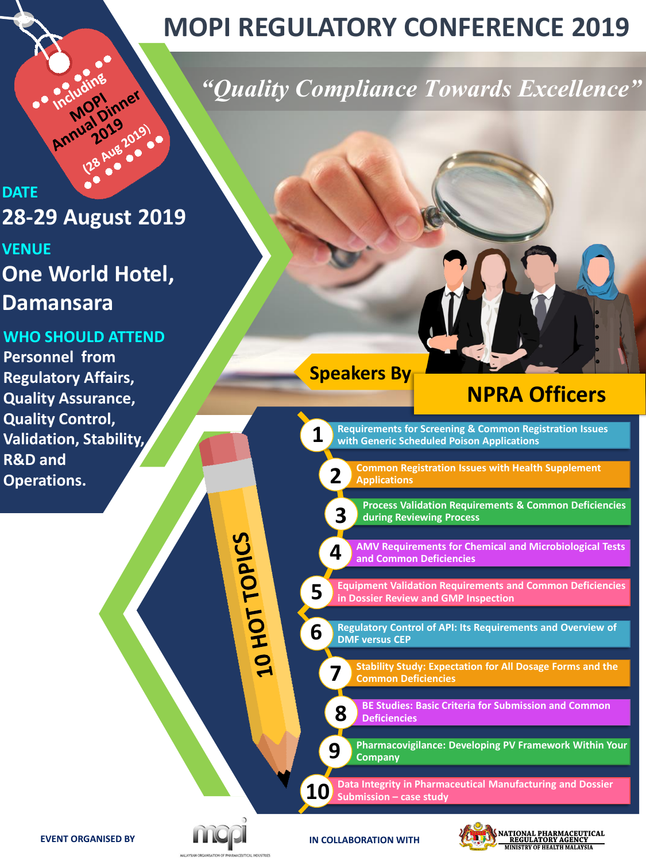# **MOPI REGULATORY CONFERENCE 2019**

## *"Quality Compliance Towards Excellence"*

# DI19<br>1019<br>3 Aug 2019 **DATE 28-29 August 2019**

Annual Dinner

## **VENUE One World Hotel, Damansara**

#### **WHO SHOULD ATTEND**

**Personnel from Regulatory Affairs, Quality Assurance, Quality Control, Validation, Stability, R&D and Operations.**

**Speakers By**

## **NPRA Officers**

**Requirements for Screening & Common Registration Issues with Generic Scheduled Poison Applications**

**2**

**3**

**8**

**9**

**1**

**5**

20 HOT TOPICS

**6**

**Common Registration Issues with Health Supplement Applications** 

**Process Validation Requirements & Common Deficiencies during Reviewing Process**

**AMV Requirements for Chemical and Microbiological Tests and Common Deficiencies 4**

**Equipment Validation Requirements and Common Deficiencies in Dossier Review and GMP Inspection**

- **Regulatory Control of API: Its Requirements and Overview of DMF versus CEP**
- **Stability Study: Expectation for All Dosage Forms and the Common Deficiencies 7**

**BE Studies: Basic Criteria for Submission and Common Deficiencies**

**Pharmacovigilance: Developing PV Framework Within Your Company**

**Data Integrity in Pharmaceutical Manufacturing and Dossier Submission – case study 10**

**EVENT ORGANISED BY**



**IN COLLABORATION WITH**